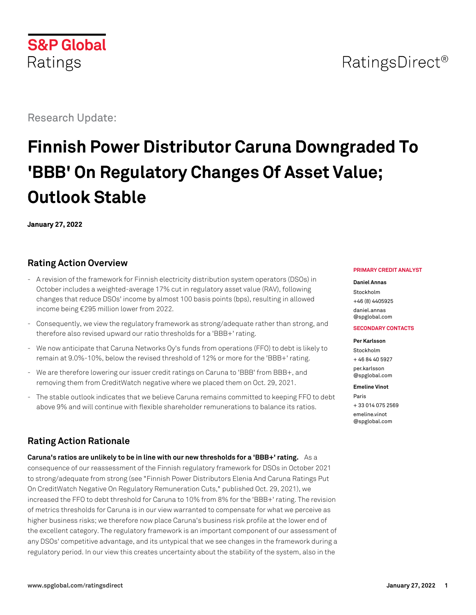# RatingsDirect<sup>®</sup>

Research Update:

**S&P Global** 

Ratings

# **Finnish Power Distributor Caruna Downgraded To 'BBB' On Regulatory Changes Of Asset Value; Outlook Stable**

**January 27, 2022**

# **Rating Action Overview**

- A revision of the framework for Finnish electricity distribution system operators (DSOs) in October includes a weighted-average 17% cut in regulatory asset value (RAV), following changes that reduce DSOs' income by almost 100 basis points (bps), resulting in allowed income being €295 million lower from 2022.
- Consequently, we view the regulatory framework as strong/adequate rather than strong, and therefore also revised upward our ratio thresholds for a 'BBB+' rating.
- We now anticipate that Caruna Networks Oy's funds from operations (FFO) to debt is likely to remain at 9.0%-10%, below the revised threshold of 12% or more for the 'BBB+' rating.
- We are therefore lowering our issuer credit ratings on Caruna to 'BBB' from BBB+, and removing them from CreditWatch negative where we placed them on Oct. 29, 2021.
- The stable outlook indicates that we believe Caruna remains committed to keeping FFO to debt above 9% and will continue with flexible shareholder remunerations to balance its ratios.

# **Rating Action Rationale**

**Caruna's ratios are unlikely to be in line with our new thresholds for a 'BBB+' rating.** As a consequence of our reassessment of the Finnish regulatory framework for DSOs in October 2021 to strong/adequate from strong (see "Finnish Power Distributors Elenia And Caruna Ratings Put On CreditWatch Negative On Regulatory Remuneration Cuts," published Oct. 29, 2021), we increased the FFO to debt threshold for Caruna to 10% from 8% for the 'BBB+' rating. The revision of metrics thresholds for Caruna is in our view warranted to compensate for what we perceive as higher business risks; we therefore now place Caruna's business risk profile at the lower end of the excellent category. The regulatory framework is an important component of our assessment of any DSOs' competitive advantage, and its untypical that we see changes in the framework during a regulatory period. In our view this creates uncertainty about the stability of the system, also in the

#### **PRIMARY CREDIT ANALYST**

#### **Daniel Annas**

Stockholm +46 (8) 4405925 [daniel.annas](mailto:daniel.annas@spglobal.com) [@spglobal.com](mailto:daniel.annas@spglobal.com)

#### **SECONDARY CONTACTS**

**Per Karlsson**

Stockholm + 46 84 40 5927 [per.karlsson](mailto:per.karlsson@spglobal.com) [@spglobal.com](mailto:per.karlsson@spglobal.com)

#### **Emeline Vinot**

Paris + 33 014 075 2569 [emeline.vinot](mailto:emeline.vinot@spglobal.com) [@spglobal.com](mailto:emeline.vinot@spglobal.com)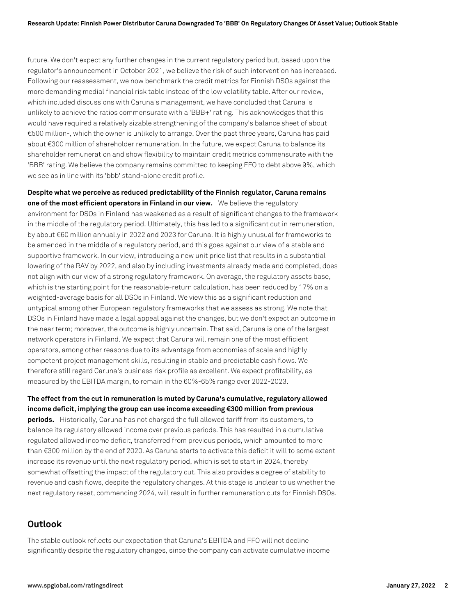future. We don't expect any further changes in the current regulatory period but, based upon the regulator's announcement in October 2021, we believe the risk of such intervention has increased. Following our reassessment, we now benchmark the credit metrics for Finnish DSOs against the more demanding medial financial risk table instead of the low volatility table. After our review, which included discussions with Caruna's management, we have concluded that Caruna is unlikely to achieve the ratios commensurate with a 'BBB+' rating. This acknowledges that this would have required a relatively sizable strengthening of the company's balance sheet of about €500 million-, which the owner is unlikely to arrange. Over the past three years, Caruna has paid about €300 million of shareholder remuneration. In the future, we expect Caruna to balance its shareholder remuneration and show flexibility to maintain credit metrics commensurate with the 'BBB' rating. We believe the company remains committed to keeping FFO to debt above 9%, which we see as in line with its 'bbb' stand-alone credit profile.

**Despite what we perceive as reduced predictability of the Finnish regulator, Caruna remains one of the most efficient operators in Finland in our view.** We believe the regulatory environment for DSOs in Finland has weakened as a result of significant changes to the framework in the middle of the regulatory period. Ultimately, this has led to a significant cut in remuneration, by about €60 million annually in 2022 and 2023 for Caruna. It is highly unusual for frameworks to be amended in the middle of a regulatory period, and this goes against our view of a stable and supportive framework. In our view, introducing a new unit price list that results in a substantial lowering of the RAV by 2022, and also by including investments already made and completed, does not align with our view of a strong regulatory framework. On average, the regulatory assets base, which is the starting point for the reasonable-return calculation, has been reduced by 17% on a weighted-average basis for all DSOs in Finland. We view this as a significant reduction and untypical among other European regulatory frameworks that we assess as strong. We note that DSOs in Finland have made a legal appeal against the changes, but we don't expect an outcome in the near term; moreover, the outcome is highly uncertain. That said, Caruna is one of the largest network operators in Finland. We expect that Caruna will remain one of the most efficient operators, among other reasons due to its advantage from economies of scale and highly competent project management skills, resulting in stable and predictable cash flows. We therefore still regard Caruna's business risk profile as excellent. We expect profitability, as measured by the EBITDA margin, to remain in the 60%-65% range over 2022-2023.

**The effect from the cut in remuneration is muted by Caruna's cumulative, regulatory allowed income deficit, implying the group can use income exceeding €300 million from previous periods.** Historically, Caruna has not charged the full allowed tariff from its customers, to balance its regulatory allowed income over previous periods. This has resulted in a cumulative regulated allowed income deficit, transferred from previous periods, which amounted to more than €300 million by the end of 2020. As Caruna starts to activate this deficit it will to some extent increase its revenue until the next regulatory period, which is set to start in 2024, thereby somewhat offsetting the impact of the regulatory cut. This also provides a degree of stability to revenue and cash flows, despite the regulatory changes. At this stage is unclear to us whether the next regulatory reset, commencing 2024, will result in further remuneration cuts for Finnish DSOs.

## **Outlook**

The stable outlook reflects our expectation that Caruna's EBITDA and FFO will not decline significantly despite the regulatory changes, since the company can activate cumulative income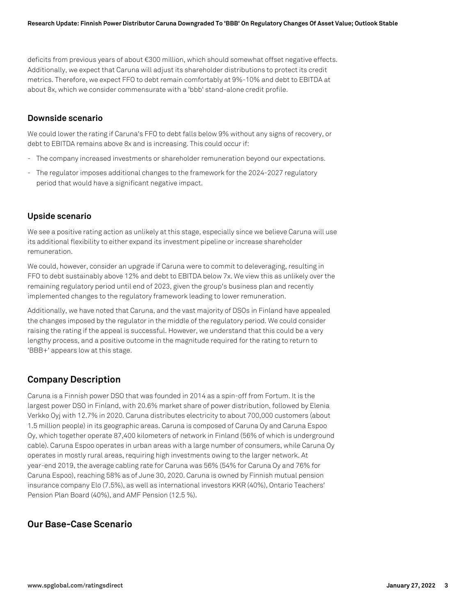deficits from previous years of about €300 million, which should somewhat offset negative effects. Additionally, we expect that Caruna will adjust its shareholder distributions to protect its credit metrics. Therefore, we expect FFO to debt remain comfortably at 9%-10% and debt to EBITDA at about 8x, which we consider commensurate with a 'bbb' stand-alone credit profile.

#### **Downside scenario**

We could lower the rating if Caruna's FFO to debt falls below 9% without any signs of recovery, or debt to EBITDA remains above 8x and is increasing. This could occur if:

- The company increased investments or shareholder remuneration beyond our expectations.
- The regulator imposes additional changes to the framework for the 2024-2027 regulatory period that would have a significant negative impact.

## **Upside scenario**

We see a positive rating action as unlikely at this stage, especially since we believe Caruna will use its additional flexibility to either expand its investment pipeline or increase shareholder remuneration.

We could, however, consider an upgrade if Caruna were to commit to deleveraging, resulting in FFO to debt sustainably above 12% and debt to EBITDA below 7x. We view this as unlikely over the remaining regulatory period until end of 2023, given the group's business plan and recently implemented changes to the regulatory framework leading to lower remuneration.

Additionally, we have noted that Caruna, and the vast majority of DSOs in Finland have appealed the changes imposed by the regulator in the middle of the regulatory period. We could consider raising the rating if the appeal is successful. However, we understand that this could be a very lengthy process, and a positive outcome in the magnitude required for the rating to return to 'BBB+' appears low at this stage.

## **Company Description**

Caruna is a Finnish power DSO that was founded in 2014 as a spin-off from Fortum. It is the largest power DSO in Finland, with 20.6% market share of power distribution, followed by Elenia Verkko Oyj with 12.7% in 2020. Caruna distributes electricity to about 700,000 customers (about 1.5 million people) in its geographic areas. Caruna is composed of Caruna Oy and Caruna Espoo Oy, which together operate 87,400 kilometers of network in Finland (56% of which is underground cable). Caruna Espoo operates in urban areas with a large number of consumers, while Caruna Oy operates in mostly rural areas, requiring high investments owing to the larger network. At year-end 2019, the average cabling rate for Caruna was 56% (54% for Caruna Oy and 76% for Caruna Espoo), reaching 58% as of June 30, 2020. Caruna is owned by Finnish mutual pension insurance company Elo (7.5%), as well as international investors KKR (40%), Ontario Teachers' Pension Plan Board (40%), and AMF Pension (12.5 %).

## **Our Base-Case Scenario**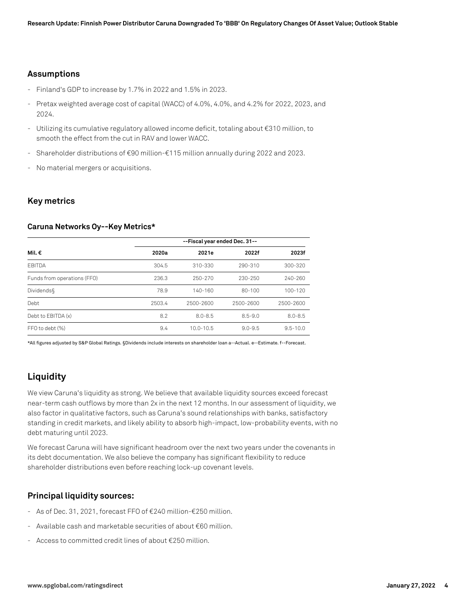#### **Assumptions**

- Finland's GDP to increase by 1.7% in 2022 and 1.5% in 2023.
- Pretax weighted average cost of capital (WACC) of 4.0%, 4.0%, and 4.2% for 2022, 2023, and 2024.
- Utilizing its cumulative regulatory allowed income deficit, totaling about €310 million, to smooth the effect from the cut in RAV and lower WACC.
- Shareholder distributions of €90 million-€115 million annually during 2022 and 2023.
- No material mergers or acquisitions.

#### **Key metrics**

#### **Caruna Networks Oy--Key Metrics\***

|                             | --Fiscal year ended Dec. 31-- |               |             |              |
|-----------------------------|-------------------------------|---------------|-------------|--------------|
| Mil. €                      | 2020a                         | 2021e         | 2022f       | 2023f        |
| <b>FBITDA</b>               | 304.5                         | 310-330       | 290-310     | 300-320      |
| Funds from operations (FFO) | 236.3                         | $250 - 270$   | 230-250     | $240 - 260$  |
| <b>Dividends</b>            | 78.9                          | $140 - 160$   | $80 - 100$  | $100 - 120$  |
| Debt                        | 2503.4                        | 2500-2600     | 2500-2600   | 2500-2600    |
| Debt to EBITDA (x)          | 8.2                           | $8.0 - 8.5$   | $8.5 - 9.0$ | $8.0 - 8.5$  |
| FFO to debt (%)             | 9.4                           | $10.0 - 10.5$ | $9.0 - 9.5$ | $9.5 - 10.0$ |

\*All figures adjusted by S&P Global Ratings. §Dividends include interests on shareholder loan a--Actual. e--Estimate. f--Forecast.

## **Liquidity**

We view Caruna's liquidity as strong. We believe that available liquidity sources exceed forecast near-term cash outflows by more than 2x in the next 12 months. In our assessment of liquidity, we also factor in qualitative factors, such as Caruna's sound relationships with banks, satisfactory standing in credit markets, and likely ability to absorb high-impact, low-probability events, with no debt maturing until 2023.

We forecast Caruna will have significant headroom over the next two years under the covenants in its debt documentation. We also believe the company has significant flexibility to reduce shareholder distributions even before reaching lock-up covenant levels.

## **Principal liquidity sources:**

- As of Dec. 31, 2021, forecast FFO of €240 million-€250 million.
- Available cash and marketable securities of about €60 million.
- Access to committed credit lines of about  $\epsilon$ 250 million.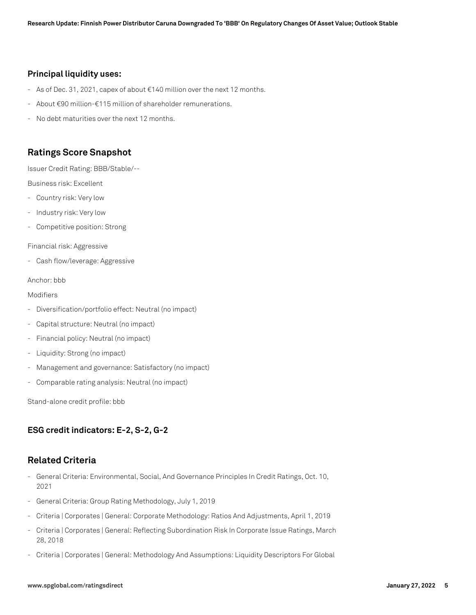#### **Principal liquidity uses:**

- As of Dec. 31, 2021, capex of about €140 million over the next 12 months.
- About €90 million-€115 million of shareholder remunerations.
- No debt maturities over the next 12 months.

## **Ratings Score Snapshot**

Issuer Credit Rating: BBB/Stable/--

Business risk: Excellent

- Country risk: Very low
- Industry risk: Very low
- Competitive position: Strong

Financial risk: Aggressive

- Cash flow/leverage: Aggressive

#### Anchor: bbb

#### Modifiers

- Diversification/portfolio effect: Neutral (no impact)
- Capital structure: Neutral (no impact)
- Financial policy: Neutral (no impact)
- Liquidity: Strong (no impact)
- Management and governance: Satisfactory (no impact)
- Comparable rating analysis: Neutral (no impact)

Stand-alone credit profile: bbb

## **ESG credit indicators: E-2, S-2, G-2**

## **Related Criteria**

- General Criteria: Environmental, Social, And Governance Principles In Credit Ratings, Oct. 10, 2021
- General Criteria: Group Rating Methodology, July 1, 2019
- Criteria | Corporates | General: Corporate Methodology: Ratios And Adjustments, April 1, 2019
- Criteria | Corporates | General: Reflecting Subordination Risk In Corporate Issue Ratings, March 28, 2018
- Criteria | Corporates | General: Methodology And Assumptions: Liquidity Descriptors For Global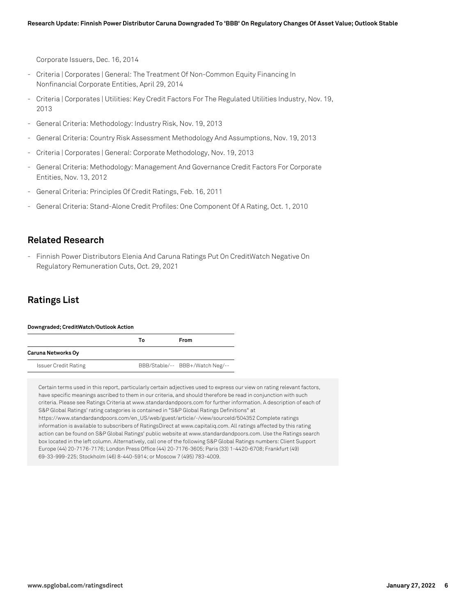Corporate Issuers, Dec. 16, 2014

- Criteria | Corporates | General: The Treatment Of Non-Common Equity Financing In Nonfinancial Corporate Entities, April 29, 2014
- Criteria | Corporates | Utilities: Key Credit Factors For The Regulated Utilities Industry, Nov. 19, 2013
- General Criteria: Methodology: Industry Risk, Nov. 19, 2013
- General Criteria: Country Risk Assessment Methodology And Assumptions, Nov. 19, 2013
- Criteria | Corporates | General: Corporate Methodology, Nov. 19, 2013
- General Criteria: Methodology: Management And Governance Credit Factors For Corporate Entities, Nov. 13, 2012
- General Criteria: Principles Of Credit Ratings, Feb. 16, 2011
- General Criteria: Stand-Alone Credit Profiles: One Component Of A Rating, Oct. 1, 2010

## **Related Research**

- Finnish Power Distributors Elenia And Caruna Ratings Put On CreditWatch Negative On Regulatory Remuneration Cuts, Oct. 29, 2021

## **Ratings List**

#### **Downgraded; CreditWatch/Outlook Action**

|                             | Т٥ | From                            |  |
|-----------------------------|----|---------------------------------|--|
| Caruna Networks Oy          |    |                                 |  |
| <b>Issuer Credit Rating</b> |    | BBB/Stable/-- BBB+/Watch Neg/-- |  |

Certain terms used in this report, particularly certain adjectives used to express our view on rating relevant factors, have specific meanings ascribed to them in our criteria, and should therefore be read in conjunction with such criteria. Please see Ratings Criteria at www.standardandpoors.com for further information. A description of each of S&P Global Ratings' rating categories is contained in "S&P Global Ratings Definitions" at https://www.standardandpoors.com/en\_US/web/guest/article/-/view/sourceId/504352 Complete ratings information is available to subscribers of RatingsDirect at www.capitaliq.com. All ratings affected by this rating action can be found on S&P Global Ratings' public website at www.standardandpoors.com. Use the Ratings search box located in the left column. Alternatively, call one of the following S&P Global Ratings numbers: Client Support Europe (44) 20-7176-7176; London Press Office (44) 20-7176-3605; Paris (33) 1-4420-6708; Frankfurt (49) 69-33-999-225; Stockholm (46) 8-440-5914; or Moscow 7 (495) 783-4009.